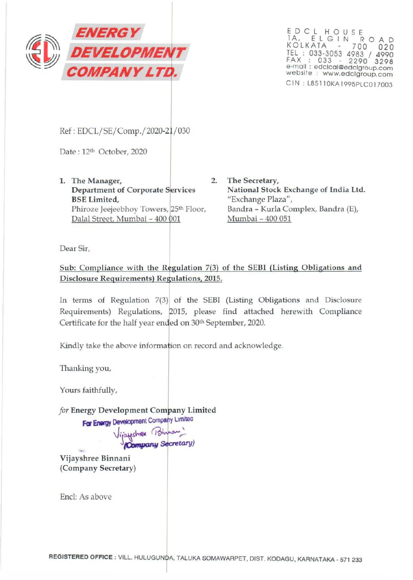

EDCL HOUSE 1A, ELGIN ROAD KOLKATA 700 020 TEL : 033-3053 4983 / 4990 FAX : 033 - 2290 3298 e-mail : edclcal@edclgroup.com website : www.edclgroup.com CIN: L85110KA1995PLC017003

Ref: EDCL/SE/Comp./2020-21/030

Date: 12<sup>th</sup> October, 2020

- 1. The Manager, Department of Corporate Services BSE Limited, Phiroze Jeejeebhoy Towers, 25<sup>th</sup> Floor, Dalal Street, Mumbai- 400 001
- 2. The Secretary, National Stock Exchange of India Ltd. "Exchange Plaza", Bandra - Kurla Complex, Bandra (E), Mumbai - 400 051

Dear Sir,

Sub: Compliance with the Regulation 7(3) of the SEBI (Listing Obligations and Disclosure Requirements) Regulations, 2015.

In terms of Regulation 7(3) of the SEBI (Listing Obligations and Disclosure Requirements) Regulations, 2015, please find attached herewith Compliance Certificate for the half year ended on 30th September, 2020.

Kindly take the above information on record and acknowledge.

Thanking you,

Yours faithfully,

for Energy Development Company Limited For Energy Development Company Limited

> $V$ *ijayshee (<i>loinnam*) Kompany Secretary)

Vijayshree Binnani (Company Secretary)

End: As above